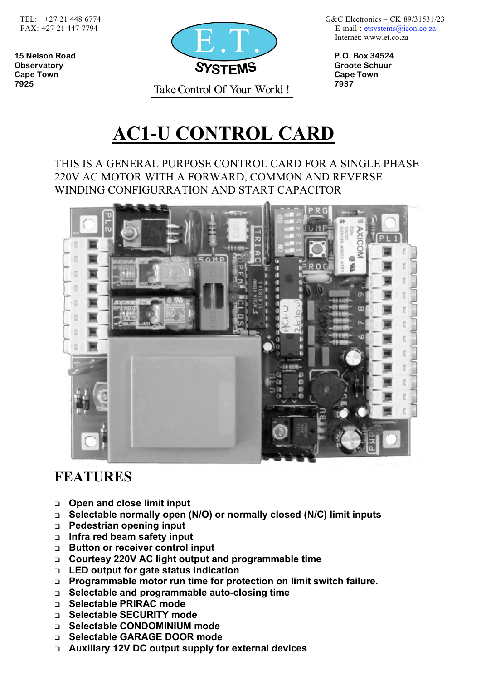

 TEL: +27 21 448 6774G&C Electronics – CK 89/31531/23 Internet: www.et.co.za

# **AC1-U CONTROL CARD**

#### THIS IS A GENERAL PURPOSE CONTROL CARD FOR A SINGLE PHASE 220V AC MOTOR WITH A FORWARD, COMMON AND REVERSE WINDING CONFIGURRATION AND START CAPACITOR



### **FEATURES**

- **Open and close limit input**
- **Selectable normally open (N/O) or normally closed (N/C) limit inputs**
- **Pedestrian opening input**
- **Infra red beam safety input**
- **Button or receiver control input**
- **Courtesy 220V AC light output and programmable time**
- **LED output for gate status indication**
- **Programmable motor run time for protection on limit switch failure.**
- **Selectable and programmable auto-closing time**
- **Selectable PRIRAC mode**
- **Selectable SECURITY mode**
- **Selectable CONDOMINIUM mode**
- **Selectable GARAGE DOOR mode**
- **Auxiliary 12V DC output supply for external devices**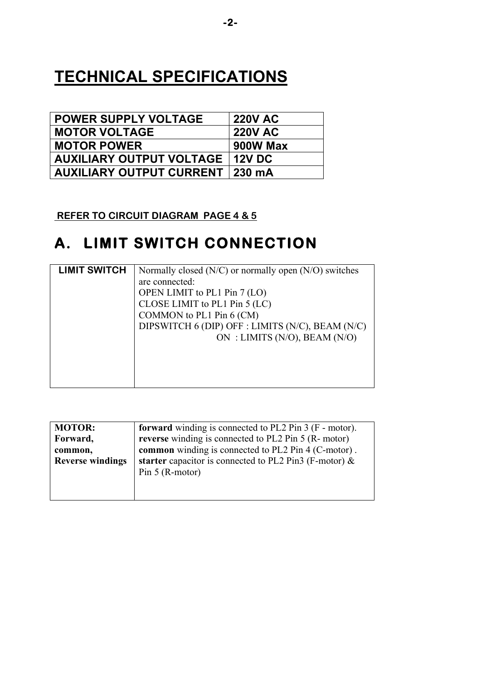## **TECHNICAL SPECIFICATIONS**

| <b>POWER SUPPLY VOLTAGE</b>            | <b>220V AC</b> |
|----------------------------------------|----------------|
| <b>MOTOR VOLTAGE</b>                   | <b>220V AC</b> |
| <b>MOTOR POWER</b>                     | 900W Max       |
| <b>AUXILIARY OUTPUT VOLTAGE</b>        | <b>12V DC</b>  |
| <b>AUXILIARY OUTPUT CURRENT 230 mA</b> |                |

 **REFER TO CIRCUIT DIAGRAM PAGE 4 & 5**

## **A. LIMIT SWITCH CONNECTION**

| <b>LIMIT SWITCH</b> | Normally closed $(N/C)$ or normally open $(N/O)$ switches |
|---------------------|-----------------------------------------------------------|
|                     | are connected:                                            |
|                     | OPEN LIMIT to PL1 Pin 7 (LO)                              |
|                     | CLOSE LIMIT to PL1 Pin 5 (LC)                             |
|                     | COMMON to PL1 Pin 6 (CM)                                  |
|                     | DIPSWITCH 6 (DIP) OFF : LIMITS (N/C), BEAM (N/C)          |
|                     | ON : LIMITS (N/O), BEAM (N/O)                             |
|                     |                                                           |
|                     |                                                           |
|                     |                                                           |
|                     |                                                           |

| <b>MOTOR:</b>           | <b>forward</b> winding is connected to PL2 Pin 3 (F - motor). |  |  |
|-------------------------|---------------------------------------------------------------|--|--|
| Forward,                | reverse winding is connected to PL2 Pin 5 (R- motor)          |  |  |
| common,                 | common winding is connected to PL2 Pin 4 (C-motor).           |  |  |
| <b>Reverse windings</b> | starter capacitor is connected to PL2 Pin3 (F-motor) $\&$     |  |  |
|                         | Pin $5$ (R-motor)                                             |  |  |
|                         |                                                               |  |  |
|                         |                                                               |  |  |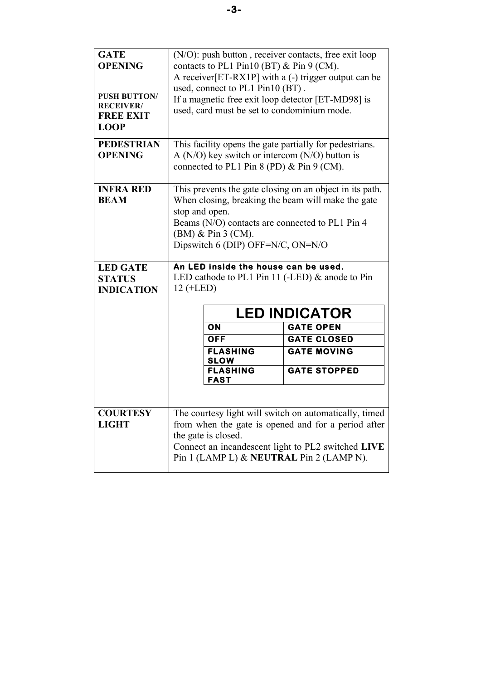| <b>GATE</b><br><b>OPENING</b><br><b>PUSH BUTTON/</b><br><b>RECEIVER/</b><br><b>FREE EXIT</b><br><b>LOOP</b> | (N/O): push button, receiver contacts, free exit loop<br>contacts to PL1 Pin10 (BT) $&$ Pin 9 (CM).<br>A receiver [ET-RX1P] with a (-) trigger output can be<br>used, connect to PL1 Pin10 (BT).<br>If a magnetic free exit loop detector [ET-MD98] is<br>used, card must be set to condominium mode.                                                        |                                |                     |
|-------------------------------------------------------------------------------------------------------------|--------------------------------------------------------------------------------------------------------------------------------------------------------------------------------------------------------------------------------------------------------------------------------------------------------------------------------------------------------------|--------------------------------|---------------------|
| <b>PEDESTRIAN</b><br><b>OPENING</b>                                                                         | This facility opens the gate partially for pedestrians.<br>A ( $N/O$ ) key switch or intercom ( $N/O$ ) button is<br>connected to PL1 Pin 8 (PD) $&$ Pin 9 (CM).                                                                                                                                                                                             |                                |                     |
| <b>INFRA RED</b><br><b>BEAM</b><br><b>LED GATE</b><br><b>STATUS</b><br><b>INDICATION</b>                    | This prevents the gate closing on an object in its path.<br>When closing, breaking the beam will make the gate<br>stop and open.<br>Beams (N/O) contacts are connected to PL1 Pin 4<br>$(BM)$ & Pin 3 (CM).<br>Dipswitch 6 (DIP) OFF=N/C, ON=N/O<br>An LED inside the house can be used.<br>LED cathode to PL1 Pin 11 (-LED) $&$ anode to Pin<br>$12 (+LED)$ |                                |                     |
|                                                                                                             | <b>LED INDICATOR</b>                                                                                                                                                                                                                                                                                                                                         |                                |                     |
|                                                                                                             |                                                                                                                                                                                                                                                                                                                                                              | ON                             | <b>GATE OPEN</b>    |
|                                                                                                             |                                                                                                                                                                                                                                                                                                                                                              | <b>OFF</b>                     | <b>GATE CLOSED</b>  |
|                                                                                                             |                                                                                                                                                                                                                                                                                                                                                              | <b>FLASHING</b><br><b>SLOW</b> | <b>GATE MOVING</b>  |
|                                                                                                             |                                                                                                                                                                                                                                                                                                                                                              | <b>FLASHING</b><br><b>FAST</b> | <b>GATE STOPPED</b> |
|                                                                                                             |                                                                                                                                                                                                                                                                                                                                                              |                                |                     |
| <b>COURTESY</b><br><b>LIGHT</b>                                                                             | The courtesy light will switch on automatically, timed<br>from when the gate is opened and for a period after<br>the gate is closed.<br>Connect an incandescent light to PL2 switched LIVE<br>Pin 1 (LAMP L) & NEUTRAL Pin 2 (LAMP N).                                                                                                                       |                                |                     |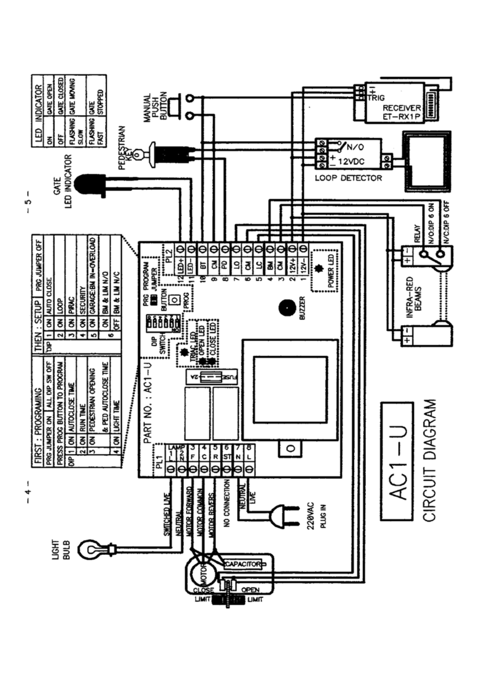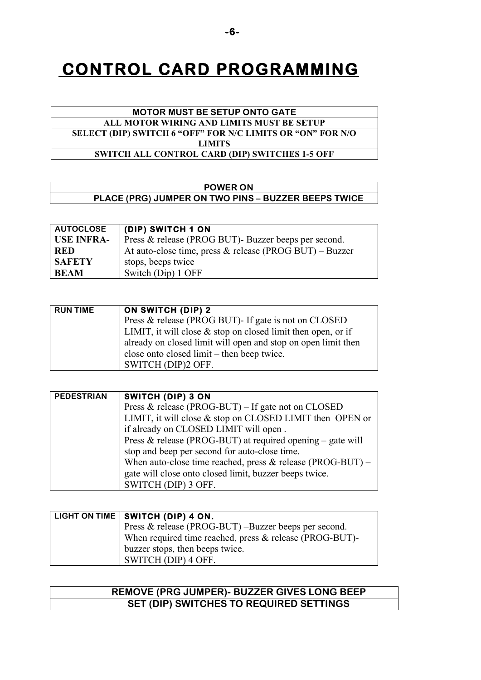## **CONTROL CARD PROGRAMMING**

#### **MOTOR MUST BE SETUP ONTO GATE ALL MOTOR WIRING AND LIMITS MUST BE SETUP SELECT (DIP) SWITCH 6 "OFF" FOR N/C LIMITS OR "ON" FOR N/O LIMITS SWITCH ALL CONTROL CARD (DIP) SWITCHES 1-5 OFF**

#### **POWER ON**

**PLACE (PRG) JUMPER ON TWO PINS – BUZZER BEEPS TWICE** 

| <b>AUTOCLOSE</b>  | (DIP) SWITCH 1 ON                                       |
|-------------------|---------------------------------------------------------|
| <b>USE INFRA-</b> | Press & release (PROG BUT)- Buzzer beeps per second.    |
| <b>RED</b>        | At auto-close time, press & release (PROG BUT) – Buzzer |
| <b>SAFETY</b>     | stops, beeps twice                                      |
| <b>BEAM</b>       | Switch (Dip) 1 OFF                                      |

| <b>RUN TIME</b> | <b>ON SWITCH (DIP) 2</b>                                        |
|-----------------|-----------------------------------------------------------------|
|                 | Press & release (PROG BUT)- If gate is not on CLOSED            |
|                 | LIMIT, it will close $\&$ stop on closed limit then open, or if |
|                 | already on closed limit will open and stop on open limit then   |
|                 | close onto closed limit – then beep twice.                      |
|                 | SWITCH (DIP)2 OFF.                                              |

| <b>PEDESTRIAN</b> | SWITCH (DIP) 3 ON                                            |
|-------------------|--------------------------------------------------------------|
|                   | Press & release (PROG-BUT) – If gate not on CLOSED           |
|                   | LIMIT, it will close $&$ stop on CLOSED LIMIT then OPEN or   |
|                   | if already on CLOSED LIMIT will open.                        |
|                   | Press & release (PROG-BUT) at required opening – gate will   |
|                   | stop and beep per second for auto-close time.                |
|                   | When auto-close time reached, press $&$ release (PROG-BUT) – |
|                   | gate will close onto closed limit, buzzer beeps twice.       |
|                   | SWITCH (DIP) 3 OFF.                                          |

| LIGHT ON TIME   SWITCH (DIP) 4 ON.                      |
|---------------------------------------------------------|
| Press $&$ release (PROG-BUT) –Buzzer beeps per second.  |
| When required time reached, press & release (PROG-BUT)- |
| buzzer stops, then beeps twice.                         |
| SWITCH (DIP) 4 OFF.                                     |

#### **REMOVE (PRG JUMPER)- BUZZER GIVES LONG BEEP SET (DIP) SWITCHES TO REQUIRED SETTINGS**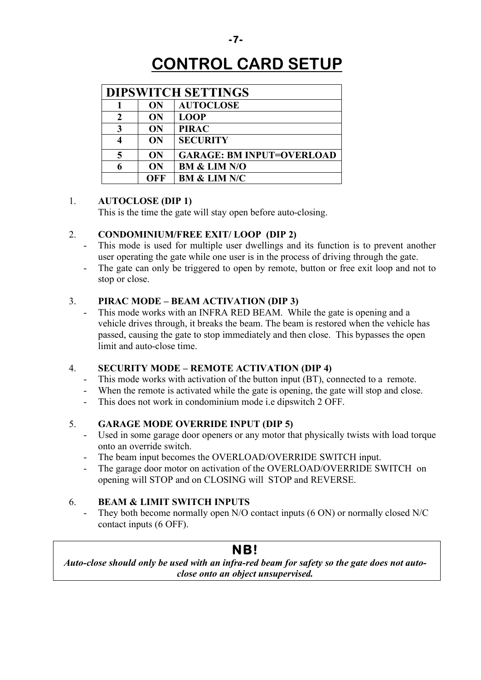## **CONTROL CARD SETUP**

| <b>DIPSWITCH SETTINGS</b> |           |                                  |
|---------------------------|-----------|----------------------------------|
|                           | ON        | <b>AUTOCLOSE</b>                 |
| 2                         | <b>ON</b> | <b>LOOP</b>                      |
| 3                         | <b>ON</b> | <b>PIRAC</b>                     |
|                           | ON        | <b>SECURITY</b>                  |
| 5                         | ON        | <b>GARAGE: BM INPUT=OVERLOAD</b> |
|                           | ON        | <b>BM &amp; LIM N/O</b>          |
|                           | OFF       | <b>BM &amp; LIM N/C</b>          |

#### 1. **AUTOCLOSE (DIP 1)**

This is the time the gate will stay open before auto-closing.

#### 2. **CONDOMINIUM/FREE EXIT/ LOOP (DIP 2)**

- This mode is used for multiple user dwellings and its function is to prevent another user operating the gate while one user is in the process of driving through the gate.
- The gate can only be triggered to open by remote, button or free exit loop and not to stop or close.

#### 3. **PIRAC MODE – BEAM ACTIVATION (DIP 3)**

This mode works with an INFRA RED BEAM. While the gate is opening and a vehicle drives through, it breaks the beam. The beam is restored when the vehicle has passed, causing the gate to stop immediately and then close. This bypasses the open limit and auto-close time.

#### 4. **SECURITY MODE – REMOTE ACTIVATION (DIP 4)**

- This mode works with activation of the button input (BT), connected to a remote.
- When the remote is activated while the gate is opening, the gate will stop and close.
- This does not work in condominium mode i.e dipswitch 2 OFF.

#### 5. **GARAGE MODE OVERRIDE INPUT (DIP 5)**

- Used in some garage door openers or any motor that physically twists with load torque onto an override switch.
- The beam input becomes the OVERLOAD/OVERRIDE SWITCH input.
- The garage door motor on activation of the OVERLOAD/OVERRIDE SWITCH on opening will STOP and on CLOSING will STOP and REVERSE.

#### 6. **BEAM & LIMIT SWITCH INPUTS**

They both become normally open N/O contact inputs (6 ON) or normally closed N/C contact inputs (6 OFF).

#### **NB!**

*Auto-close should only be used with an infra-red beam for safety so the gate does not autoclose onto an object unsupervised.*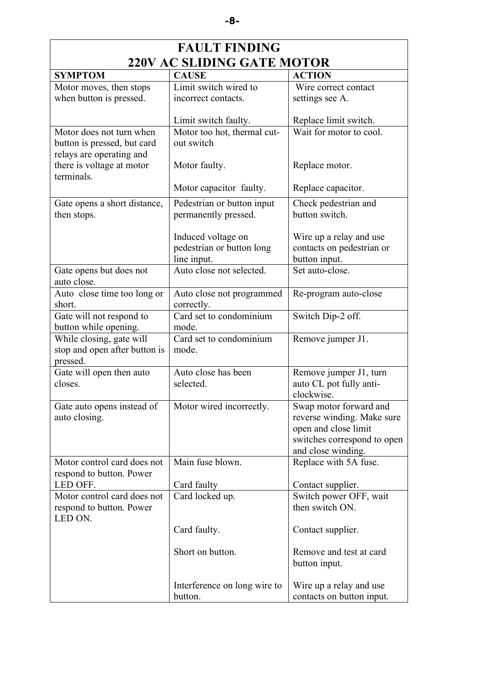| <b>FAULT FINDING</b>                                                                |                                                                |                                                                                                                                   |  |
|-------------------------------------------------------------------------------------|----------------------------------------------------------------|-----------------------------------------------------------------------------------------------------------------------------------|--|
| <b>220V AC SLIDING GATE MOTOR</b>                                                   |                                                                |                                                                                                                                   |  |
| <b>SYMPTOM</b>                                                                      | <b>CAUSE</b>                                                   | <b>ACTION</b>                                                                                                                     |  |
| Motor moves, then stops                                                             | Limit switch wired to                                          | Wire correct contact                                                                                                              |  |
| when button is pressed.                                                             | incorrect contacts.                                            | settings see A.                                                                                                                   |  |
|                                                                                     | Limit switch faulty.                                           | Replace limit switch.                                                                                                             |  |
| Motor does not turn when<br>button is pressed, but card<br>relays are operating and | Motor too hot, thermal cut-<br>out switch                      | Wait for motor to cool.                                                                                                           |  |
| there is voltage at motor<br>terminals.                                             | Motor faulty.                                                  | Replace motor.                                                                                                                    |  |
|                                                                                     | Motor capacitor faulty.                                        | Replace capacitor.                                                                                                                |  |
| Gate opens a short distance,<br>then stops.                                         | Pedestrian or button input<br>permanently pressed.             | Check pedestrian and<br>button switch.                                                                                            |  |
|                                                                                     | Induced voltage on<br>pedestrian or button long<br>line input. | Wire up a relay and use<br>contacts on pedestrian or<br>button input.                                                             |  |
| Gate opens but does not<br>auto close.                                              | Auto close not selected.                                       | Set auto-close.                                                                                                                   |  |
| Auto close time too long or<br>short.                                               | Auto close not programmed<br>correctly.                        | Re-program auto-close                                                                                                             |  |
| Gate will not respond to<br>button while opening.                                   | Card set to condominium<br>mode.                               | Switch Dip-2 off.                                                                                                                 |  |
| While closing, gate will<br>stop and open after button is<br>pressed.               | Card set to condominium<br>mode.                               | Remove jumper J1.                                                                                                                 |  |
| Gate will open then auto<br>closes.                                                 | Auto close has been<br>selected.                               | Remove jumper J1, turn<br>auto CL pot fully anti-<br>clockwise.                                                                   |  |
| Gate auto opens instead of<br>auto closing.                                         | Motor wired incorrectly.                                       | Swap motor forward and<br>reverse winding. Make sure<br>open and close limit<br>switches correspond to open<br>and close winding. |  |
| Motor control card does not<br>respond to button. Power                             | Main fuse blown.                                               | Replace with 5A fuse.                                                                                                             |  |
| LED OFF.                                                                            | Card faulty                                                    | Contact supplier.                                                                                                                 |  |
| Motor control card does not<br>respond to button. Power<br>LED ON.                  | Card locked up.                                                | Switch power OFF, wait<br>then switch ON.                                                                                         |  |
|                                                                                     | Card faulty.                                                   | Contact supplier.                                                                                                                 |  |
|                                                                                     | Short on button.                                               | Remove and test at card<br>button input.                                                                                          |  |
|                                                                                     | Interference on long wire to<br>button.                        | Wire up a relay and use<br>contacts on button input.                                                                              |  |

**-8-**